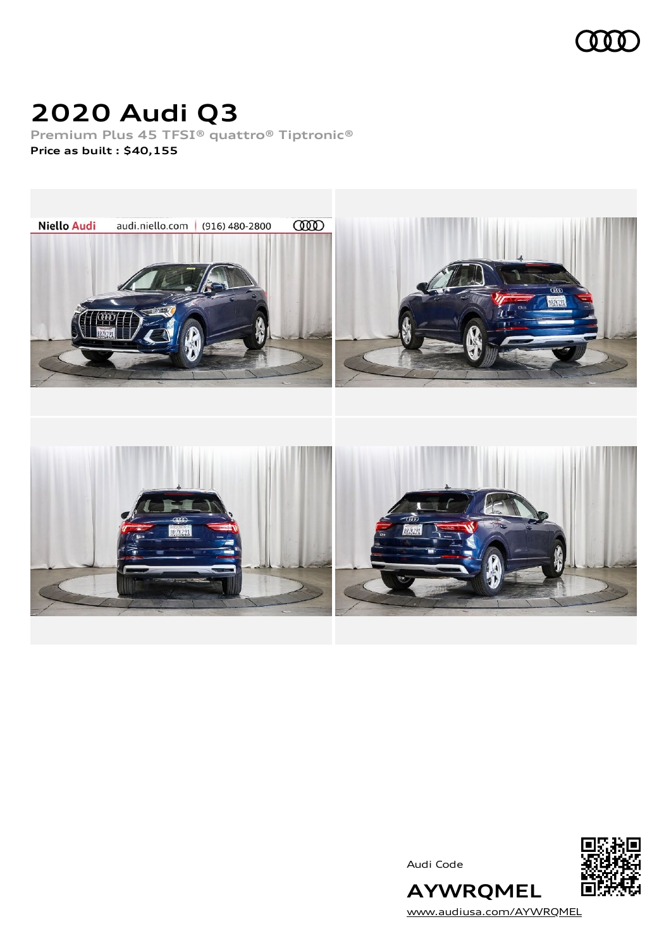

# **2020 Audi Q3**

**Premium Plus 45 TFSI® quattro® Tiptronic® Price as built [:](#page-11-0) \$40,155**



Audi Code



[www.audiusa.com/AYWRQMEL](https://www.audiusa.com/AYWRQMEL)

**AYWRQMEL**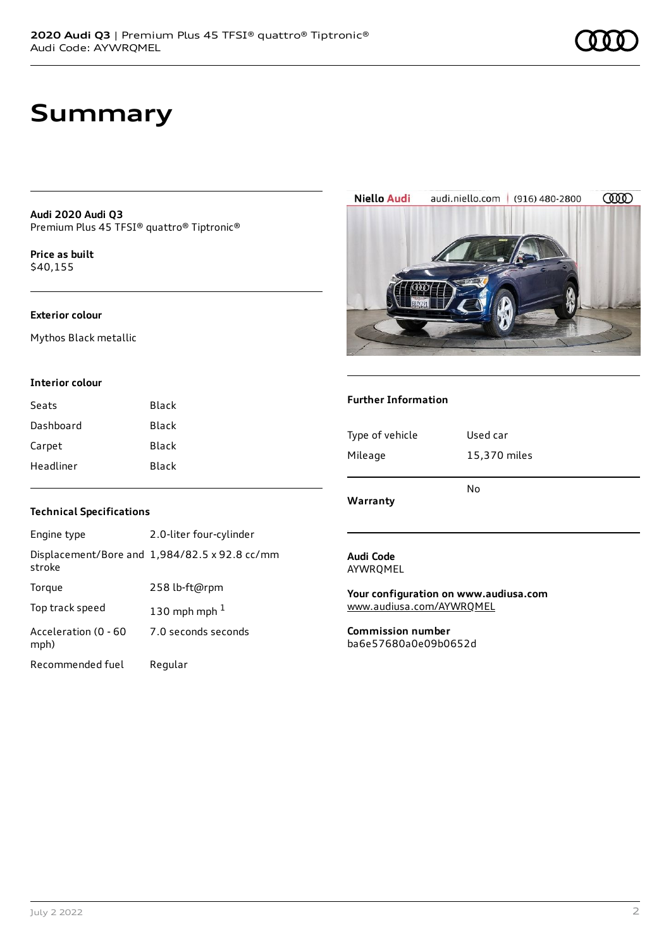# **Summary**

**Audi 2020 Audi Q3** Premium Plus 45 TFSI® quattro® Tiptronic®

**Price as buil[t](#page-11-0)** \$40,155

### **Exterior colour**

Mythos Black metallic

#### **Interior colour**

| Seats     | Black |
|-----------|-------|
| Dashboard | Black |
| Carpet    | Black |
| Headliner | Black |

### **Technical Specifications**

| Engine type                  | 2.0-liter four-cylinder                       |
|------------------------------|-----------------------------------------------|
| stroke                       | Displacement/Bore and 1,984/82.5 x 92.8 cc/mm |
| Torque                       | 258 lb-ft@rpm                                 |
| Top track speed              | 130 mph mph $1$                               |
| Acceleration (0 - 60<br>mph) | 7.0 seconds seconds                           |
| Recommended fuel             | Regular                                       |

**Audi Code** AYWRQMEL

**Your configuration on www.audiusa.com** [www.audiusa.com/AYWRQMEL](https://www.audiusa.com/AYWRQMEL)

**Commission number** ba6e57680a0e09b0652d



### **Further Information**

|                 | N٥           |
|-----------------|--------------|
| Mileage         | 15,370 miles |
| Type of vehicle | Used car     |

### **Warranty**

#### July 2 2022 2



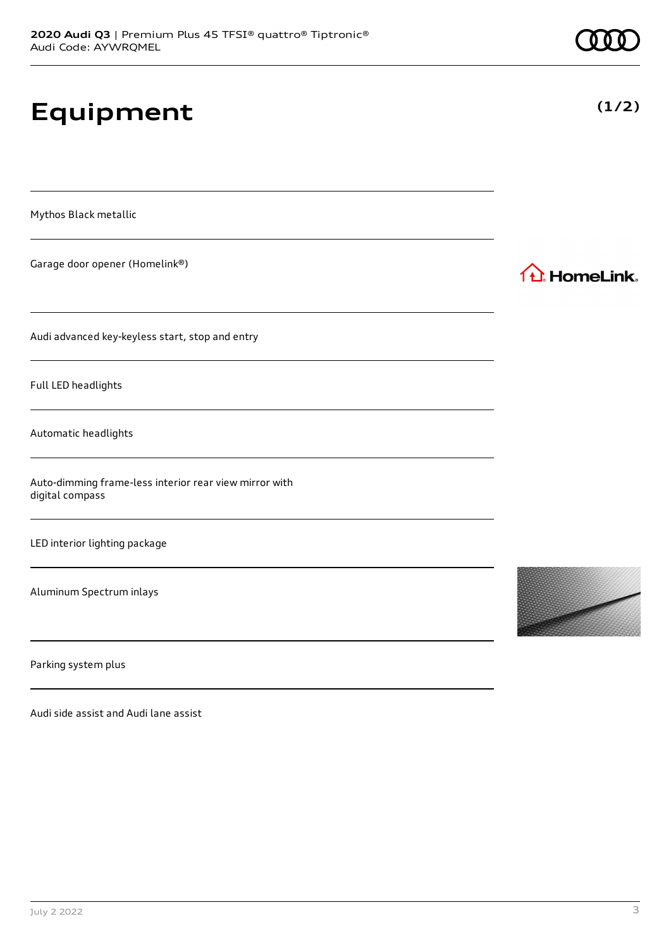**Equipment**

Mythos Black metallic

Garage door opener (Homelink®)

Audi advanced key-keyless start, stop and entry

Full LED headlights

Automatic headlights

Auto-dimming frame-less interior rear view mirror with digital compass

LED interior lighting package

Aluminum Spectrum inlays

Parking system plus

Audi side assist and Audi lane assist





**(1/2)**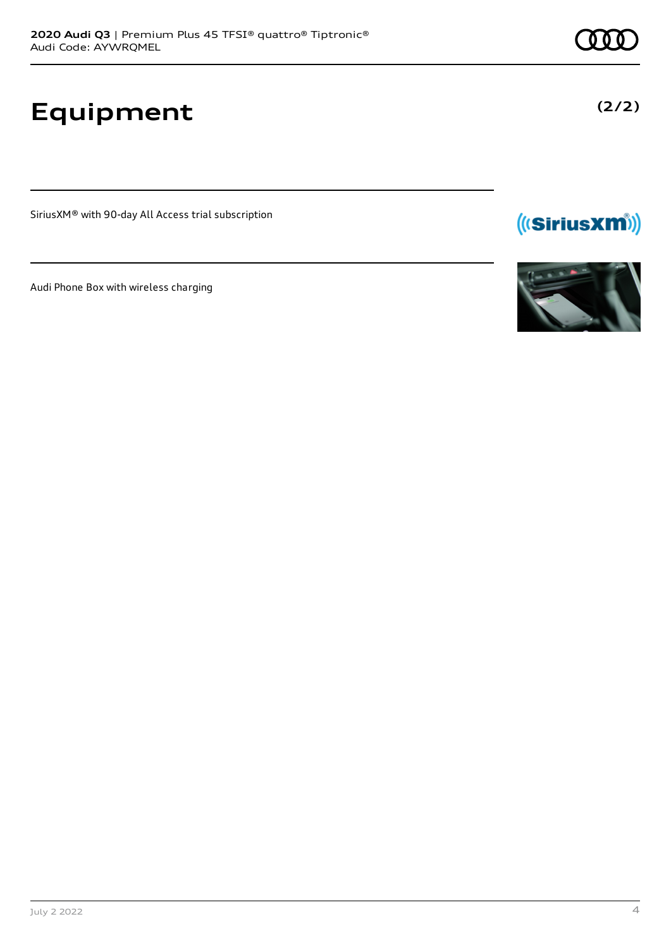# **Equipment**

SiriusXM® with 90-day All Access trial subscription

Audi Phone Box with wireless charging



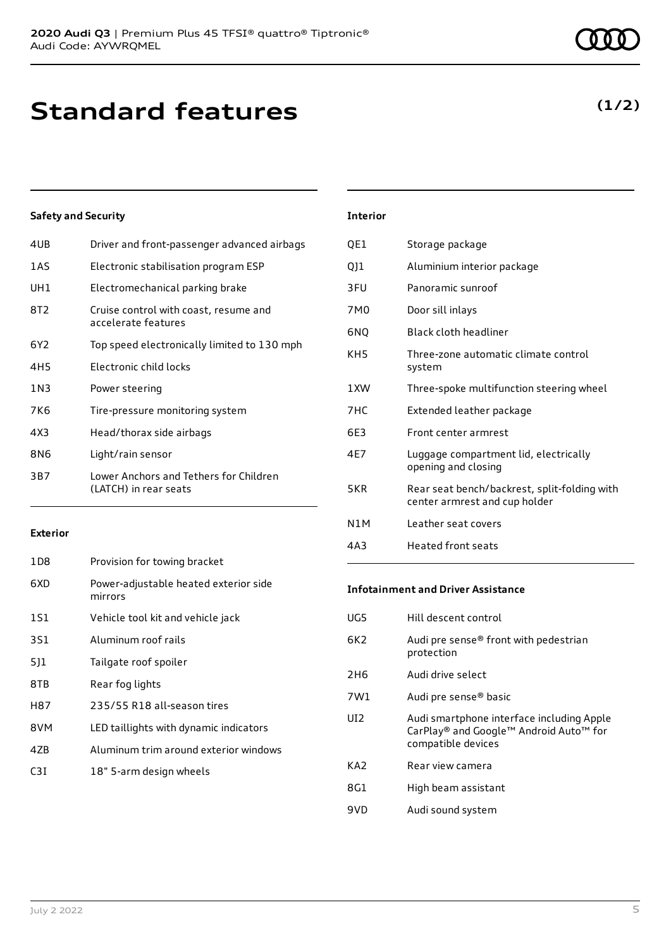# **Standard features**

## **Safety and Security**

| 4UB   | Driver and front-passenger advanced airbags                     |
|-------|-----------------------------------------------------------------|
| 1AS   | Electronic stabilisation program ESP                            |
| UH1   | Electromechanical parking brake                                 |
| 8T2   | Cruise control with coast, resume and<br>accelerate features    |
| 6Y2   | Top speed electronically limited to 130 mph                     |
| 4H5   | Electronic child locks                                          |
| 1 N 3 | Power steering                                                  |
| 7K6   | Tire-pressure monitoring system                                 |
| 4X3   | Head/thorax side airbags                                        |
| 8N6   | Light/rain sensor                                               |
| 3B7   | Lower Anchors and Tethers for Children<br>(LATCH) in rear seats |
|       |                                                                 |

#### **Exterior**

| 1D <sub>8</sub> | Provision for towing bracket                     |
|-----------------|--------------------------------------------------|
| 6XD             | Power-adjustable heated exterior side<br>mirrors |
| 1S1             | Vehicle tool kit and vehicle jack                |
| 3S1             | Aluminum roof rails                              |
| 511             | Tailgate roof spoiler                            |
| 8TB             | Rear fog lights                                  |
| H87             | 235/55 R18 all-season tires                      |
| 8VM             | LED taillights with dynamic indicators           |
| 47B             | Aluminum trim around exterior windows            |
| C3T             | 18" 5-arm design wheels                          |
|                 |                                                  |

#### **Interior**

| QE1  | Storage package                                                               |
|------|-------------------------------------------------------------------------------|
| Q]1  | Aluminium interior package                                                    |
| 3FU  | Panoramic sunroof                                                             |
| 7M0  | Door sill inlays                                                              |
| 6NQ  | Black cloth headliner                                                         |
| KH5  | Three-zone automatic climate control<br>system                                |
| 1 XW | Three-spoke multifunction steering wheel                                      |
| 7HC  | Extended leather package                                                      |
| 6F3  | Front center armrest                                                          |
| 4E7  | Luggage compartment lid, electrically<br>opening and closing                  |
| 5KR  | Rear seat bench/backrest, split-folding with<br>center armrest and cup holder |
| N1M  | Leather seat covers                                                           |
| 4A3  | <b>Heated front seats</b>                                                     |

### **Infotainment and Driver Assistance**

| UG5             | Hill descent control                                                                                      |
|-----------------|-----------------------------------------------------------------------------------------------------------|
| 6K <sub>2</sub> | Audi pre sense® front with pedestrian<br>protection                                                       |
| 2H <sub>6</sub> | Audi drive select                                                                                         |
| 7W1             | Audi pre sense® basic                                                                                     |
| UI <sub>2</sub> | Audi smartphone interface including Apple<br>CarPlay® and Google™ Android Auto™ for<br>compatible devices |
| KA2             | Rear view camera                                                                                          |
| 8G1             | High beam assistant                                                                                       |
| 9VD             | Audi sound system                                                                                         |

## **(1/2)**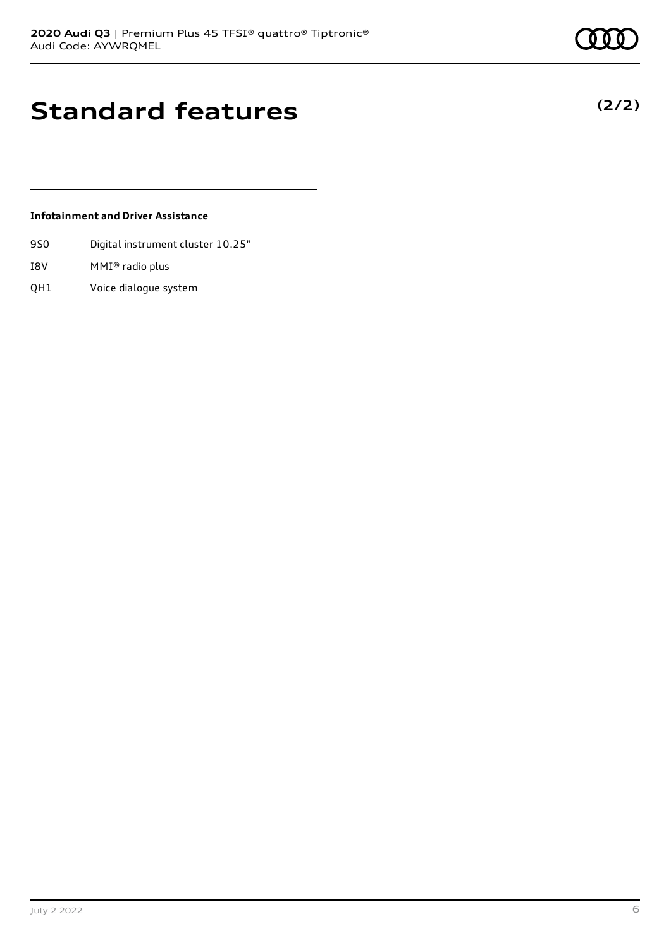**(2/2)**

# **Standard features**

### **Infotainment and Driver Assistance**

- 9S0 Digital instrument cluster 10.25"
- I8V MMI® radio plus
- QH1 Voice dialogue system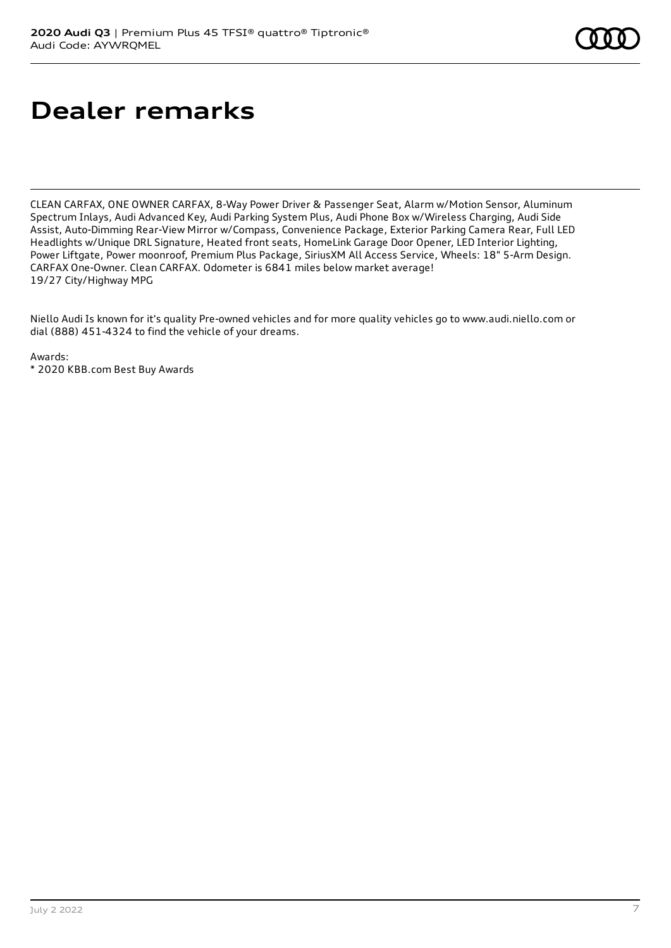# **Dealer remarks**

CLEAN CARFAX, ONE OWNER CARFAX, 8-Way Power Driver & Passenger Seat, Alarm w/Motion Sensor, Aluminum Spectrum Inlays, Audi Advanced Key, Audi Parking System Plus, Audi Phone Box w/Wireless Charging, Audi Side Assist, Auto-Dimming Rear-View Mirror w/Compass, Convenience Package, Exterior Parking Camera Rear, Full LED Headlights w/Unique DRL Signature, Heated front seats, HomeLink Garage Door Opener, LED Interior Lighting, Power Liftgate, Power moonroof, Premium Plus Package, SiriusXM All Access Service, Wheels: 18" 5-Arm Design. CARFAX One-Owner. Clean CARFAX. Odometer is 6841 miles below market average! 19/27 City/Highway MPG

Niello Audi Is known for it's quality Pre-owned vehicles and for more quality vehicles go to www.audi.niello.com or dial (888) 451-4324 to find the vehicle of your dreams.

Awards: \* 2020 KBB.com Best Buy Awards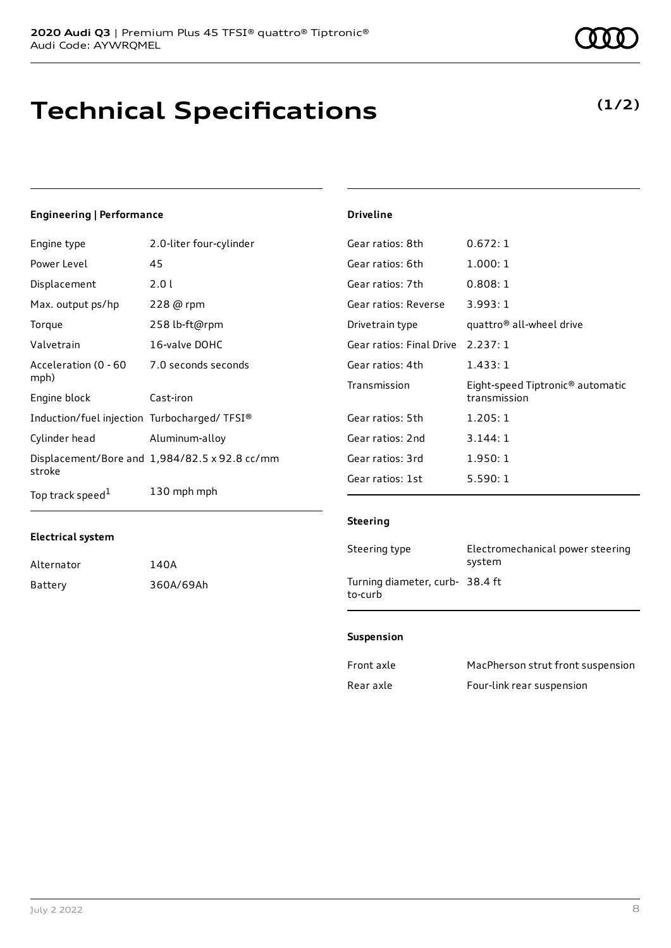# **Technical Specifications**

## **(1/2)**

## **Engineering | Performance**

| Engine type                                 | 2.0-liter four-cylinder                       | Gear raf |
|---------------------------------------------|-----------------------------------------------|----------|
| Power Level                                 | 45                                            | Gear rat |
| Displacement                                | 2.01                                          | Gear raf |
| Max. output ps/hp                           | 228 @ rpm                                     | Gear rat |
| Torque                                      | 258 lb-ft@rpm                                 | Drivetra |
| Valvetrain                                  | 16-valve DOHC                                 | Gear rat |
| Acceleration (0 - 60<br>mph)                | 7.0 seconds seconds                           | Gear rat |
| Engine block                                | Cast-iron                                     | Transmi  |
| Induction/fuel injection Turbocharged/TFSI® |                                               | Gear rat |
| Cylinder head                               | Aluminum-alloy                                | Gear rat |
|                                             | Displacement/Bore and 1,984/82.5 x 92.8 cc/mm | Gear rat |
| stroke                                      |                                               | Gear rat |
| Top track speed <sup>1</sup>                | 130 mph mph                                   |          |

## **Driveline**

| Gear ratios: 8th         | 0.672:1                                                      |
|--------------------------|--------------------------------------------------------------|
| Gear ratios: 6th         | 1.000:1                                                      |
| Gear ratios: 7th         | 0.808:1                                                      |
| Gear ratios: Reverse     | 3.993:1                                                      |
| Drivetrain type          | quattro® all-wheel drive                                     |
| Gear ratios: Final Drive | 2.237:1                                                      |
| Gear ratios: 4th         | 1.433:1                                                      |
| Transmission             | Eight-speed Tiptronic <sup>®</sup> automatic<br>transmission |
| Gear ratios: 5th         | 1.205:1                                                      |
| Gear ratios: 2nd         | 3.144:1                                                      |
| Gear ratios: 3rd         | 1.950:1                                                      |
| Gear ratios: 1st         | 5.590:1                                                      |
|                          |                                                              |

#### **Steering**

| Steering type                             | Electromechanical power steering<br>system |
|-------------------------------------------|--------------------------------------------|
| Turning diameter, curb-38.4 ft<br>to-curb |                                            |

### **Suspension**

| Front axle | MacPherson strut front suspension |
|------------|-----------------------------------|
| Rear axle  | Four-link rear suspension         |

| Alternator | 140A      |
|------------|-----------|
| Battery    | 360A/69Ah |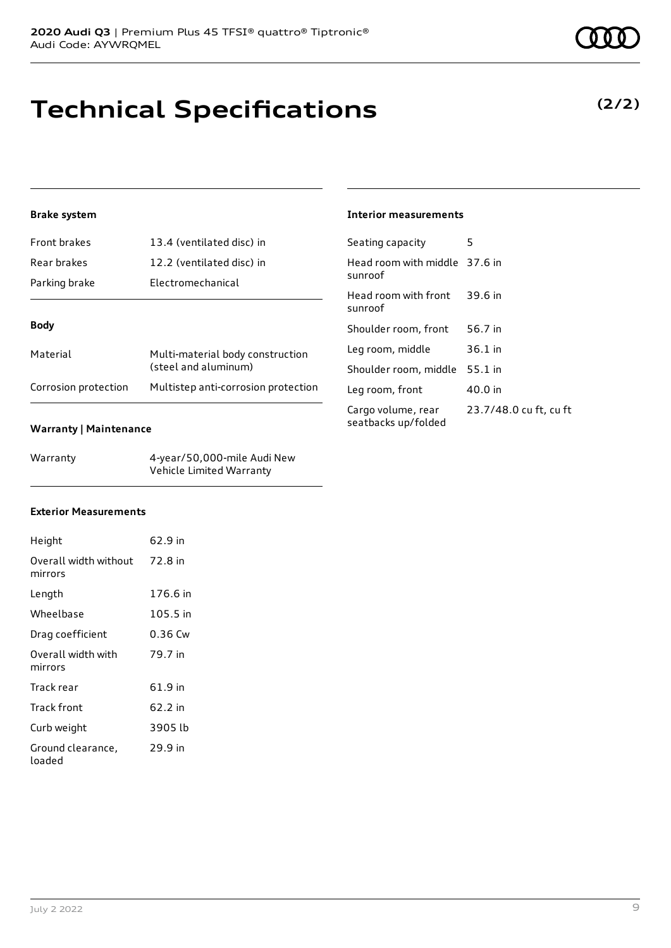# **Technical Specifications**

## **Brake system**

| <b>Front brakes</b>  | 13.4 (ventilated disc) in                                |  |
|----------------------|----------------------------------------------------------|--|
| Rear brakes          | 12.2 (ventilated disc) in                                |  |
| Parking brake        | <b>Electromechanical</b>                                 |  |
|                      |                                                          |  |
| Body                 |                                                          |  |
| Material             | Multi-material body construction<br>(steel and aluminum) |  |
| Corrosion protection | Multistep anti-corrosion protection                      |  |

## **Warranty | Maintenance**

| Warranty | 4-year/50,000-mile Audi New<br>Vehicle Limited Warranty |
|----------|---------------------------------------------------------|
|          |                                                         |

## **Exterior Measurements**

| Height                                   | 62.9 in  |
|------------------------------------------|----------|
| Overall width without 72.8 in<br>mirrors |          |
| Length                                   | 176.6 in |
| Wheelbase                                | 105.5 in |
| Drag coefficient                         | 0.36 Cw  |
| Overall width with<br>mirrors            | 79.7 in  |
| Track rear                               | 61.9 in  |
| <b>Track front</b>                       | 62.2 in  |
| Curb weight                              | 3905 lb  |
| Ground clearance,<br>loaded              | 29.9 in  |

## **Interior measurements**

| Seating capacity                          | 5                      |
|-------------------------------------------|------------------------|
| Head room with middle 37.6 in<br>sunroof  |                        |
| Head room with front<br>sunroof           | 39.6 in                |
| Shoulder room, front                      | 56.7 in                |
| Leg room, middle                          | 36.1 in                |
| Shoulder room, middle                     | $55.1$ in              |
| Leg room, front                           | 40.0 in                |
| Cargo volume, rear<br>seatbacks up/folded | 23.7/48.0 cu ft, cu ft |

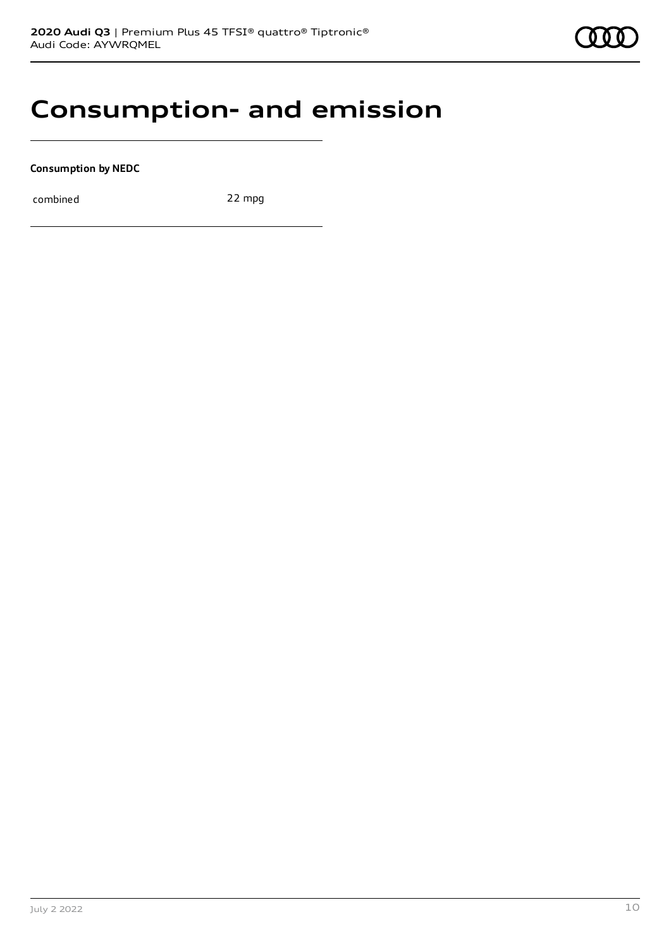## **Consumption- and emission**

**Consumption by NEDC**

combined 22 mpg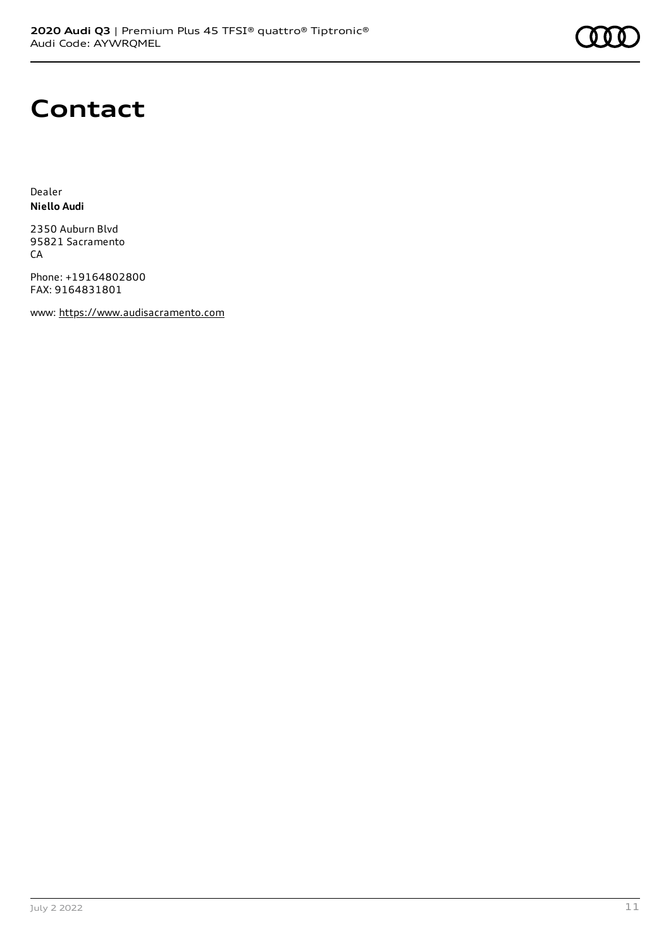

## **Contact**

Dealer **Niello Audi**

2350 Auburn Blvd 95821 Sacramento **CA** 

Phone: +19164802800 FAX: 9164831801

www: [https://www.audisacramento.com](https://www.audisacramento.com/)